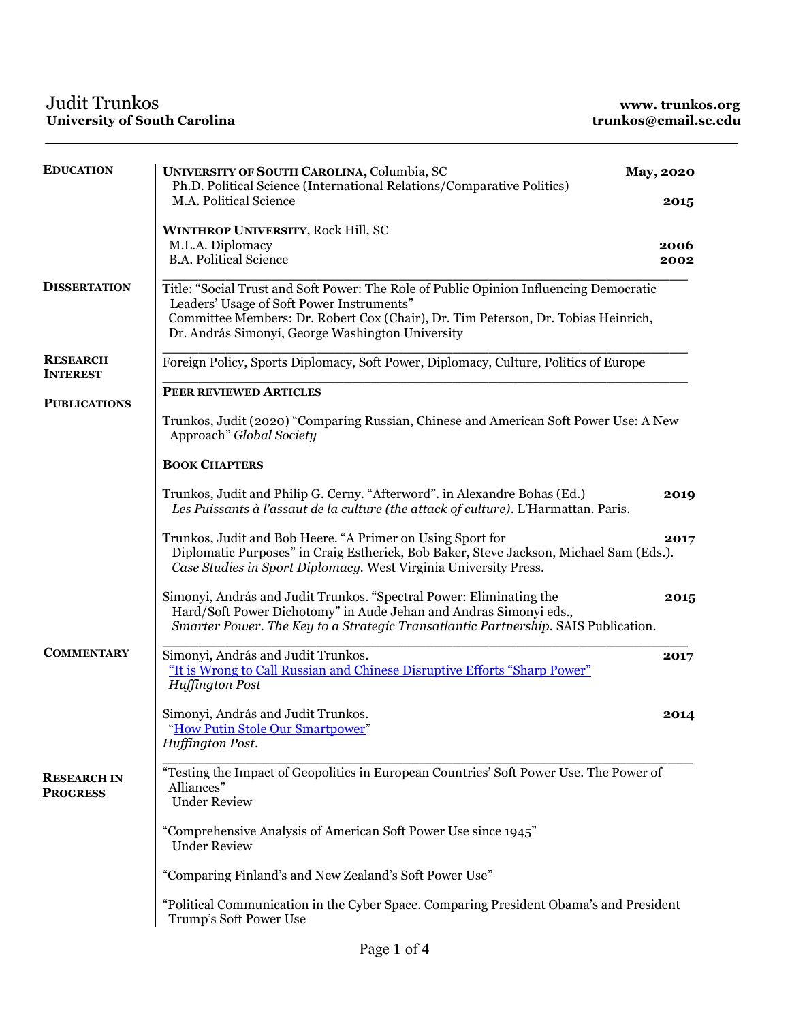| <b>EDUCATION</b>                      | UNIVERSITY OF SOUTH CAROLINA, Columbia, SC<br>Ph.D. Political Science (International Relations/Comparative Politics)                                                                                                                                                         | <b>May, 2020</b> |  |
|---------------------------------------|------------------------------------------------------------------------------------------------------------------------------------------------------------------------------------------------------------------------------------------------------------------------------|------------------|--|
|                                       | M.A. Political Science                                                                                                                                                                                                                                                       | 2015             |  |
|                                       | <b>WINTHROP UNIVERSITY, Rock Hill, SC</b>                                                                                                                                                                                                                                    |                  |  |
|                                       | M.L.A. Diplomacy                                                                                                                                                                                                                                                             | 2006             |  |
|                                       | <b>B.A. Political Science</b>                                                                                                                                                                                                                                                | 2002             |  |
| <b>DISSERTATION</b>                   | Title: "Social Trust and Soft Power: The Role of Public Opinion Influencing Democratic<br>Leaders' Usage of Soft Power Instruments"<br>Committee Members: Dr. Robert Cox (Chair), Dr. Tim Peterson, Dr. Tobias Heinrich,<br>Dr. András Simonyi, George Washington University |                  |  |
| <b>RESEARCH</b><br><b>INTEREST</b>    | Foreign Policy, Sports Diplomacy, Soft Power, Diplomacy, Culture, Politics of Europe                                                                                                                                                                                         |                  |  |
|                                       | PEER REVIEWED ARTICLES                                                                                                                                                                                                                                                       |                  |  |
| <b>PUBLICATIONS</b>                   | Trunkos, Judit (2020) "Comparing Russian, Chinese and American Soft Power Use: A New<br>Approach" Global Society                                                                                                                                                             |                  |  |
|                                       | <b>BOOK CHAPTERS</b>                                                                                                                                                                                                                                                         |                  |  |
|                                       | Trunkos, Judit and Philip G. Cerny. "Afterword". in Alexandre Bohas (Ed.)<br>Les Puissants à l'assaut de la culture (the attack of culture). L'Harmattan. Paris.                                                                                                             | 2019             |  |
|                                       | Trunkos, Judit and Bob Heere. "A Primer on Using Sport for<br>Diplomatic Purposes" in Craig Estherick, Bob Baker, Steve Jackson, Michael Sam (Eds.).<br>Case Studies in Sport Diplomacy. West Virginia University Press.                                                     | 2017             |  |
|                                       | Simonyi, András and Judit Trunkos. "Spectral Power: Eliminating the<br>Hard/Soft Power Dichotomy" in Aude Jehan and Andras Simonyi eds.,<br>Smarter Power. The Key to a Strategic Transatlantic Partnership. SAIS Publication.                                               | 2015             |  |
| <b>COMMENTARY</b>                     | Simonyi, András and Judit Trunkos.<br>"It is Wrong to Call Russian and Chinese Disruptive Efforts "Sharp Power"<br><b>Huffington Post</b>                                                                                                                                    | 2017             |  |
|                                       | Simonyi, András and Judit Trunkos.<br>"How Putin Stole Our Smartpower"<br>Huffington Post.                                                                                                                                                                                   | 2014             |  |
| <b>RESEARCH IN</b><br><b>PROGRESS</b> | "Testing the Impact of Geopolitics in European Countries' Soft Power Use. The Power of<br>Alliances"<br><b>Under Review</b>                                                                                                                                                  |                  |  |
|                                       | "Comprehensive Analysis of American Soft Power Use since 1945"<br><b>Under Review</b>                                                                                                                                                                                        |                  |  |
|                                       | "Comparing Finland's and New Zealand's Soft Power Use"                                                                                                                                                                                                                       |                  |  |
|                                       | "Political Communication in the Cyber Space. Comparing President Obama's and President<br>Trump's Soft Power Use                                                                                                                                                             |                  |  |

\_\_\_\_\_\_\_\_\_\_\_\_\_\_\_\_\_\_\_\_\_\_\_\_\_\_\_\_\_\_\_\_\_\_\_\_\_\_\_\_\_\_ \_\_\_\_\_\_\_\_\_\_\_\_\_\_\_\_\_\_\_\_\_\_\_\_\_\_\_\_\_\_\_\_\_\_\_\_\_\_\_\_\_\_\_\_\_\_\_\_\_\_\_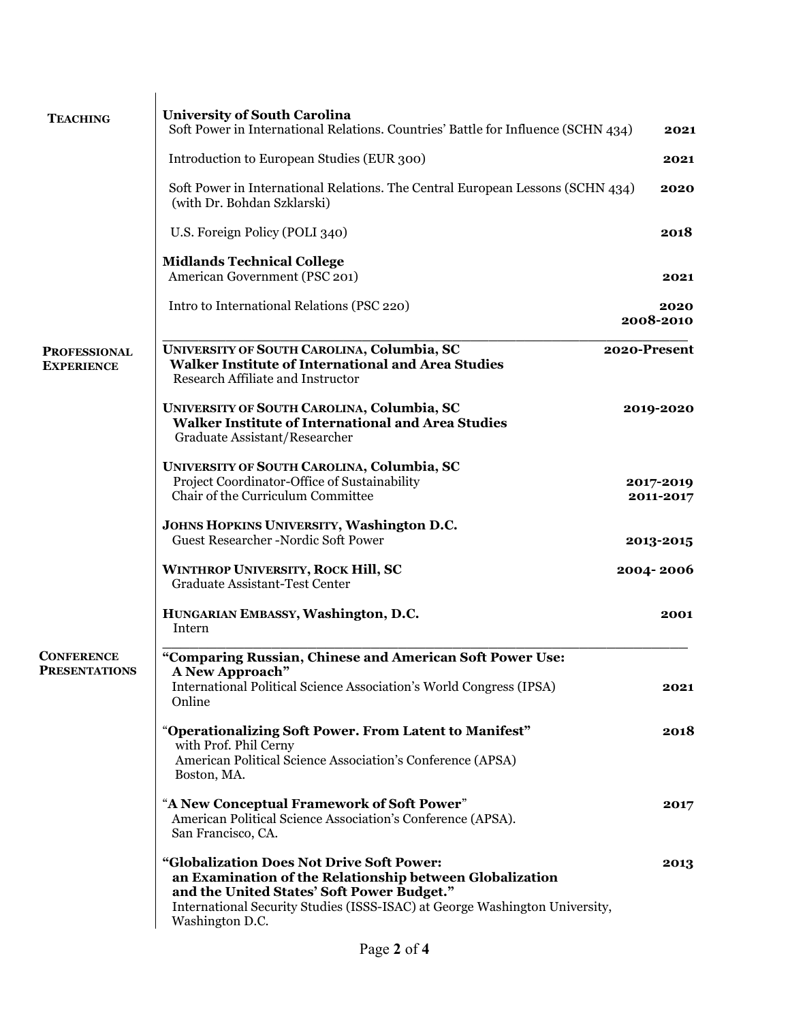| <b>TEACHING</b>                          | <b>University of South Carolina</b>                                                                                                                                                                                                                   |                        |
|------------------------------------------|-------------------------------------------------------------------------------------------------------------------------------------------------------------------------------------------------------------------------------------------------------|------------------------|
|                                          | Soft Power in International Relations. Countries' Battle for Influence (SCHN 434)                                                                                                                                                                     | 2021                   |
|                                          | Introduction to European Studies (EUR 300)                                                                                                                                                                                                            | 2021                   |
|                                          | Soft Power in International Relations. The Central European Lessons (SCHN 434)<br>(with Dr. Bohdan Szklarski)                                                                                                                                         | 2020                   |
|                                          | U.S. Foreign Policy (POLI 340)                                                                                                                                                                                                                        | 2018                   |
|                                          | <b>Midlands Technical College</b><br>American Government (PSC 201)                                                                                                                                                                                    | 2021                   |
|                                          | Intro to International Relations (PSC 220)                                                                                                                                                                                                            | 2020<br>2008-2010      |
| <b>PROFESSIONAL</b><br><b>EXPERIENCE</b> | UNIVERSITY OF SOUTH CAROLINA, Columbia, SC<br><b>Walker Institute of International and Area Studies</b><br>Research Affiliate and Instructor                                                                                                          | 2020-Present           |
|                                          | UNIVERSITY OF SOUTH CAROLINA, Columbia, SC<br><b>Walker Institute of International and Area Studies</b><br>Graduate Assistant/Researcher                                                                                                              | 2019-2020              |
|                                          | UNIVERSITY OF SOUTH CAROLINA, Columbia, SC<br>Project Coordinator-Office of Sustainability<br>Chair of the Curriculum Committee                                                                                                                       | 2017-2019<br>2011-2017 |
|                                          | JOHNS HOPKINS UNIVERSITY, Washington D.C.<br><b>Guest Researcher-Nordic Soft Power</b>                                                                                                                                                                | 2013-2015              |
|                                          | <b>WINTHROP UNIVERSITY, ROCK Hill, SC</b><br><b>Graduate Assistant-Test Center</b>                                                                                                                                                                    | 2004-2006              |
|                                          | HUNGARIAN EMBASSY, Washington, D.C.<br>Intern                                                                                                                                                                                                         | 2001                   |
| <b>CONFERENCE</b>                        | "Comparing Russian, Chinese and American Soft Power Use:                                                                                                                                                                                              |                        |
| <b>PRESENTATIONS</b>                     | A New Approach"<br>International Political Science Association's World Congress (IPSA)<br>Online                                                                                                                                                      | 2021                   |
|                                          | "Operationalizing Soft Power. From Latent to Manifest"<br>with Prof. Phil Cerny<br>American Political Science Association's Conference (APSA)<br>Boston, MA.                                                                                          | 2018                   |
|                                          | "A New Conceptual Framework of Soft Power"<br>American Political Science Association's Conference (APSA).<br>San Francisco, CA.                                                                                                                       | 2017                   |
|                                          | "Globalization Does Not Drive Soft Power:<br>an Examination of the Relationship between Globalization<br>and the United States' Soft Power Budget."<br>International Security Studies (ISSS-ISAC) at George Washington University,<br>Washington D.C. | 2013                   |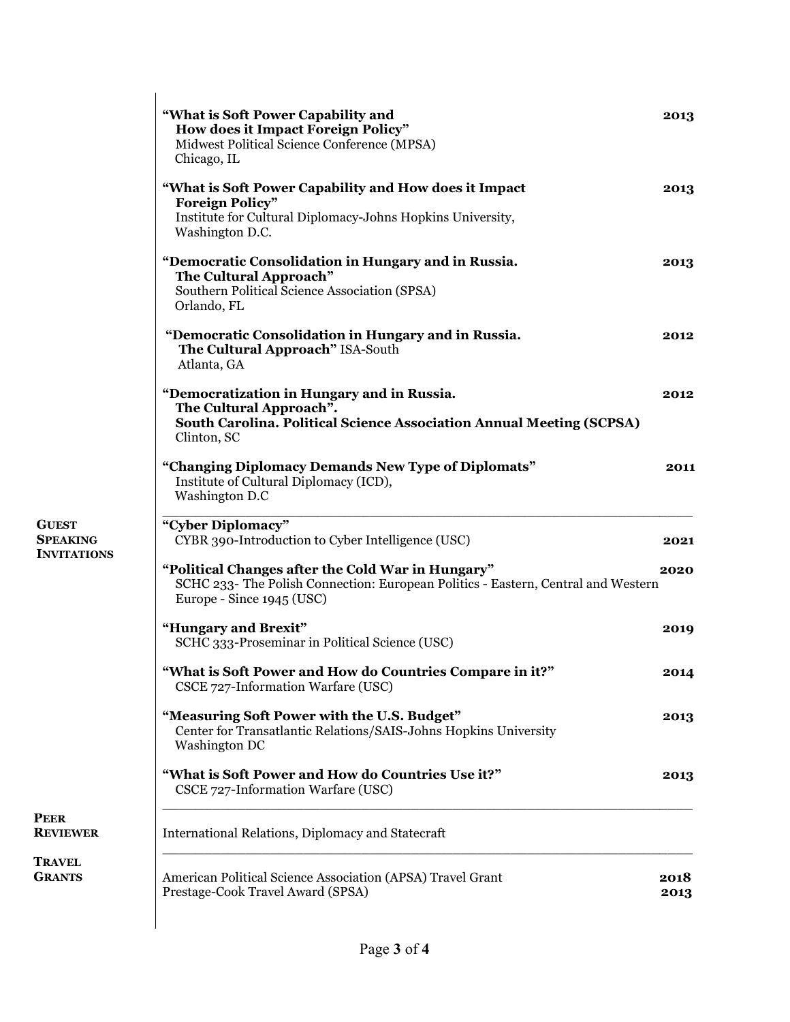| "What is Soft Power Capability and<br>How does it Impact Foreign Policy"<br>Midwest Political Science Conference (MPSA)<br>Chicago, IL                              | 2013 |
|---------------------------------------------------------------------------------------------------------------------------------------------------------------------|------|
| "What is Soft Power Capability and How does it Impact<br><b>Foreign Policy"</b>                                                                                     | 2013 |
| Institute for Cultural Diplomacy-Johns Hopkins University,<br>Washington D.C.                                                                                       |      |
| "Democratic Consolidation in Hungary and in Russia.<br>The Cultural Approach"<br>Southern Political Science Association (SPSA)<br>Orlando, FL                       | 2013 |
| "Democratic Consolidation in Hungary and in Russia.<br>The Cultural Approach" ISA-South<br>Atlanta, GA                                                              | 2012 |
| "Democratization in Hungary and in Russia.<br>The Cultural Approach".<br><b>South Carolina. Political Science Association Annual Meeting (SCPSA)</b><br>Clinton, SC | 2012 |
| "Changing Diplomacy Demands New Type of Diplomats"<br>Institute of Cultural Diplomacy (ICD),<br>Washington D.C                                                      | 2011 |
| "Cyber Diplomacy"<br>CYBR 390-Introduction to Cyber Intelligence (USC)                                                                                              | 2021 |
| "Political Changes after the Cold War in Hungary"<br>SCHC 233- The Polish Connection: European Politics - Eastern, Central and Western<br>Europe - Since 1945 (USC) | 2020 |
| "Hungary and Brexit"<br>SCHC 333-Proseminar in Political Science (USC)                                                                                              | 2019 |
| "What is Soft Power and How do Countries Compare in it?"<br>CSCE 727-Information Warfare (USC)                                                                      | 2014 |
| "Measuring Soft Power with the U.S. Budget"<br>Center for Transatlantic Relations/SAIS-Johns Hopkins University<br>Washington DC                                    | 2013 |
| "What is Soft Power and How do Countries Use it?"<br>CSCE 727-Information Warfare (USC)                                                                             | 2013 |
| International Relations, Diplomacy and Statecraft                                                                                                                   |      |
|                                                                                                                                                                     |      |

PEER REVIEWER

**GUEST SPEAKING INVITATIONS** 

**TRAVEL GRANTS**